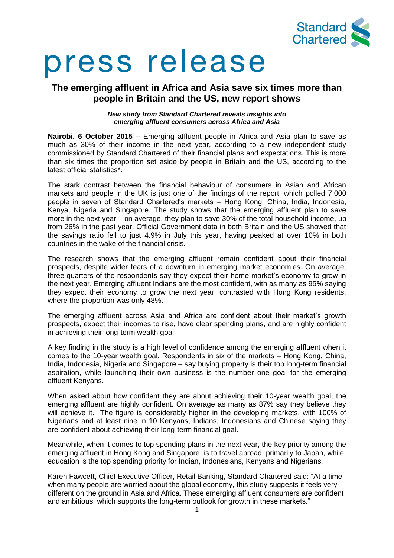

# press release

# **The emerging affluent in Africa and Asia save six times more than people in Britain and the US, new report shows**

#### *New study from Standard Chartered reveals insights into emerging affluent consumers across Africa and Asia*

**Nairobi, 6 October 2015 –** Emerging affluent people in Africa and Asia plan to save as much as 30% of their income in the next year, according to a new independent study commissioned by Standard Chartered of their financial plans and expectations. This is more than six times the proportion set aside by people in Britain and the US, according to the latest official statistics\*.

The stark contrast between the financial behaviour of consumers in Asian and African markets and people in the UK is just one of the findings of the report, which polled 7,000 people in seven of Standard Chartered's markets – Hong Kong, China, India, Indonesia, Kenya, Nigeria and Singapore. The study shows that the emerging affluent plan to save more in the next year – on average, they plan to save 30% of the total household income, up from 26% in the past year. Official Government data in both Britain and the US showed that the savings ratio fell to just 4.9% in July this year, having peaked at over 10% in both countries in the wake of the financial crisis.

The research shows that the emerging affluent remain confident about their financial prospects, despite wider fears of a downturn in emerging market economies. On average, three-quarters of the respondents say they expect their home market's economy to grow in the next year. Emerging affluent Indians are the most confident, with as many as 95% saying they expect their economy to grow the next year, contrasted with Hong Kong residents, where the proportion was only 48%.

The emerging affluent across Asia and Africa are confident about their market's growth prospects, expect their incomes to rise, have clear spending plans, and are highly confident in achieving their long-term wealth goal.

A key finding in the study is a high level of confidence among the emerging affluent when it comes to the 10-year wealth goal. Respondents in six of the markets – Hong Kong, China, India, Indonesia, Nigeria and Singapore – say buying property is their top long-term financial aspiration, while launching their own business is the number one goal for the emerging affluent Kenyans.

When asked about how confident they are about achieving their 10-year wealth goal, the emerging affluent are highly confident. On average as many as 87% say they believe they will achieve it. The figure is considerably higher in the developing markets, with 100% of Nigerians and at least nine in 10 Kenyans, Indians, Indonesians and Chinese saying they are confident about achieving their long-term financial goal.

Meanwhile, when it comes to top spending plans in the next year, the key priority among the emerging affluent in Hong Kong and Singapore is to travel abroad, primarily to Japan, while, education is the top spending priority for Indian, Indonesians, Kenyans and Nigerians.

Karen Fawcett, Chief Executive Officer, Retail Banking, Standard Chartered said: "At a time when many people are worried about the global economy, this study suggests it feels very different on the ground in Asia and Africa. These emerging affluent consumers are confident and ambitious, which supports the long-term outlook for growth in these markets."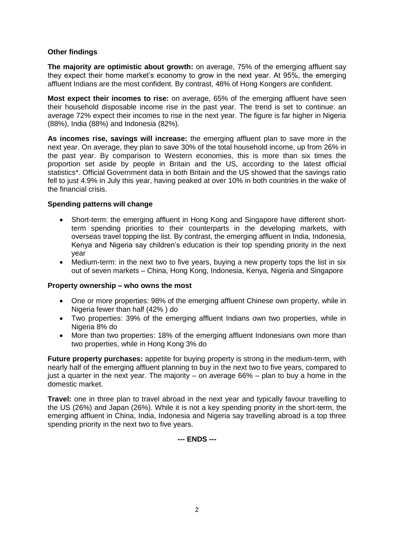### **Other findings**

**The majority are optimistic about growth:** on average, 75% of the emerging affluent say they expect their home market's economy to grow in the next year. At 95%, the emerging affluent Indians are the most confident. By contrast, 48% of Hong Kongers are confident.

**Most expect their incomes to rise:** on average, 65% of the emerging affluent have seen their household disposable income rise in the past year. The trend is set to continue: an average 72% expect their incomes to rise in the next year. The figure is far higher in Nigeria (88%), India (88%) and Indonesia (82%).

**As incomes rise, savings will increase:** the emerging affluent plan to save more in the next year. On average, they plan to save 30% of the total household income, up from 26% in the past year. By comparison to Western economies, this is more than six times the proportion set aside by people in Britain and the US, according to the latest official statistics\*. Official Government data in both Britain and the US showed that the savings ratio fell to just 4.9% in July this year, having peaked at over 10% in both countries in the wake of the financial crisis.

# **Spending patterns will change**

- Short-term: the emerging affluent in Hong Kong and Singapore have different shortterm spending priorities to their counterparts in the developing markets, with overseas travel topping the list. By contrast, the emerging affluent in India, Indonesia, Kenya and Nigeria say children's education is their top spending priority in the next year
- Medium-term: in the next two to five years, buying a new property tops the list in six out of seven markets – China, Hong Kong, Indonesia, Kenya, Nigeria and Singapore

#### **Property ownership – who owns the most**

- One or more properties: 98% of the emerging affluent Chinese own property, while in Nigeria fewer than half (42% ) do
- Two properties: 39% of the emerging affluent Indians own two properties, while in Nigeria 8% do
- More than two properties: 18% of the emerging affluent Indonesians own more than two properties, while in Hong Kong 3% do

**Future property purchases:** appetite for buying property is strong in the medium-term, with nearly half of the emerging affluent planning to buy in the next two to five years, compared to just a quarter in the next year. The majority – on average 66% – plan to buy a home in the domestic market.

**Travel:** one in three plan to travel abroad in the next year and typically favour travelling to the US (26%) and Japan (26%). While it is not a key spending priority in the short-term, the emerging affluent in China, India, Indonesia and Nigeria say travelling abroad is a top three spending priority in the next two to five years.

# **--- ENDS ---**